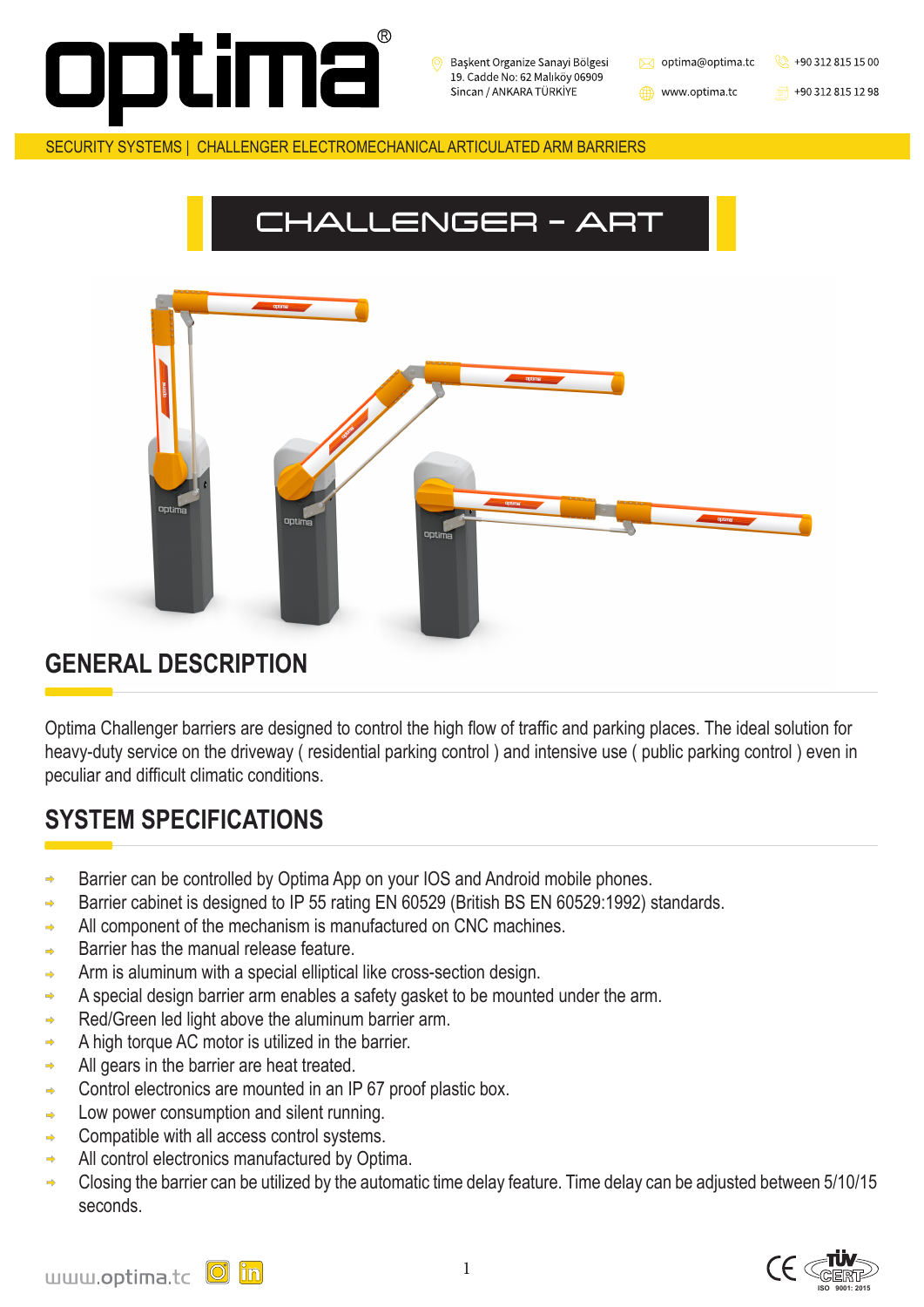1





SECURITY SYSTEMS | CHALLENGER ELECTROMECHANICAL ARTICULATED ARM BARRIERS



Başkent Organize Sanayi Bölgesi 19. Cadde No: 62 Malıköy 06909 Sincan / ANKARA TÜRKİYE

optima@optima.tc

![](_page_0_Picture_3.jpeg)

www.optima.tc

![](_page_0_Picture_5.jpeg)

Optima Challenger barriers are designed to control the high flow of traffic and parking places. The ideal solution for heavy-duty service on the driveway ( residential parking control ) and intensive use ( public parking control ) even in peculiar and difficult climatic conditions.

### **SYSTEM SPECIFICATIONS**

- Barrier can be controlled by Optima App on your IOS and Android mobile phones.  $\Rightarrow$
- Barrier cabinet is designed to IP 55 rating EN 60529 (British BS EN 60529:1992) standards.  $\Rightarrow$
- All component of the mechanism is manufactured on CNC machines.  $\Rightarrow$
- Barrier has the manual release feature.  $\Rightarrow$
- Arm is aluminum with a special elliptical like cross-section design.  $\Rightarrow$
- A special design barrier arm enables a safety gasket to be mounted under the arm.  $\Rightarrow$
- Red/Green led light above the aluminum barrier arm.  $\Rightarrow$
- A high torque AC motor is utilized in the barrier.  $\Rightarrow$
- All gears in the barrier are heat treated.  $\Rightarrow$
- Control electronics are mounted in an IP 67 proof plastic box.  $\Rightarrow$
- Low power consumption and silent running.  $\Rightarrow$
- Compatible with all access control systems.  $\Rightarrow$
- All control electronics manufactured by Optima.  $\Rightarrow$
- Closing the barrier can be utilized by the automatic time delay feature. Time delay can be adjusted between 5/10/15  $\Rightarrow$ seconds.

#### **GENERAL DESCRIPTION**

# CHALLENGER - ART

![](_page_0_Picture_8.jpeg)

![](_page_0_Figure_9.jpeg)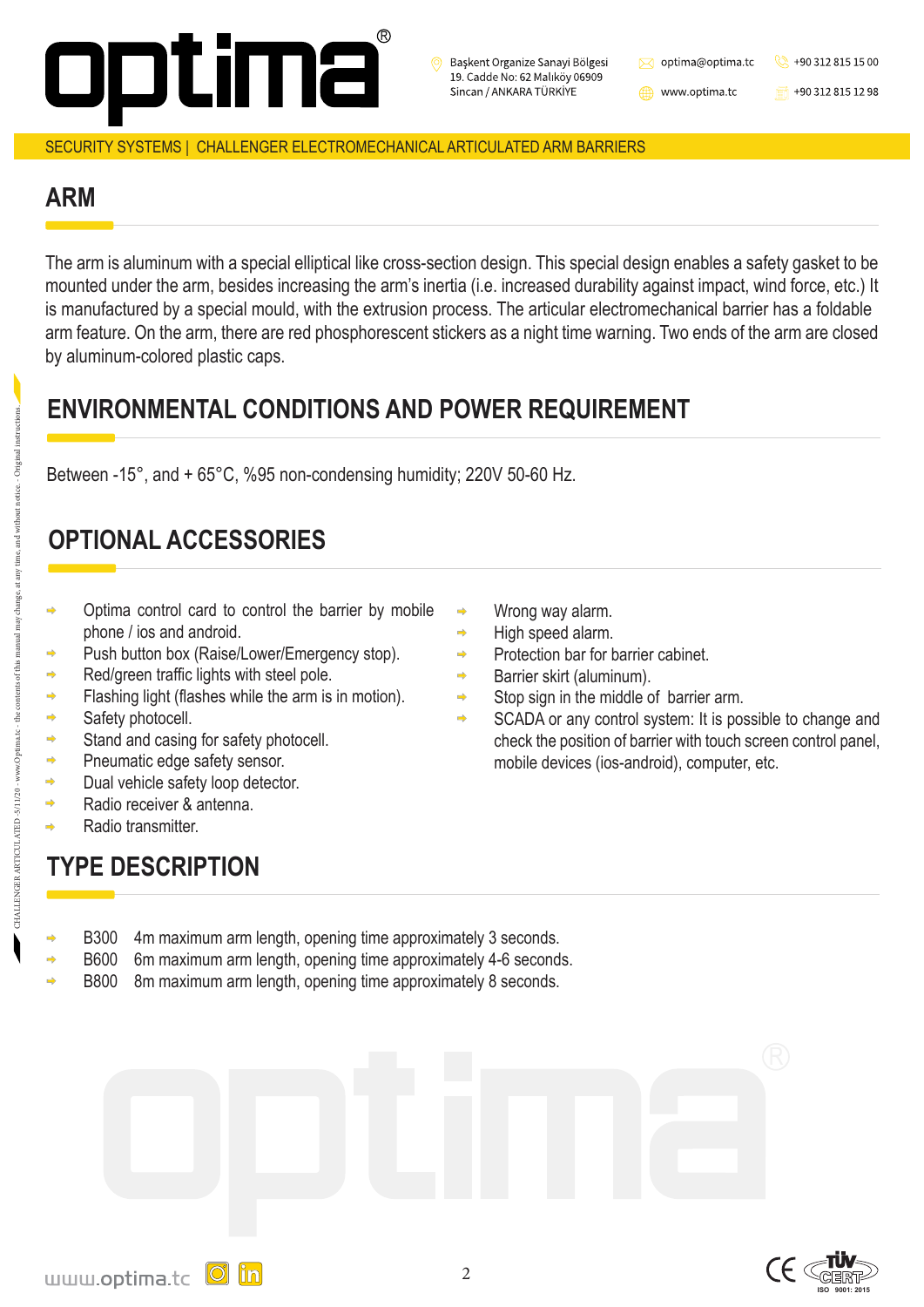$\Rightarrow$ 

 $\Rightarrow$ 

 $\Rightarrow$ 

 $\Rightarrow$ 

 $\Rightarrow$ 

 $\Rightarrow$ 

![](_page_1_Picture_27.jpeg)

#### SECURITY SYSTEMS | CHALLENGER ELECTROMECHANICAL ARTICULATED ARM BARRIERS

![](_page_1_Picture_0.jpeg)

Başkent Organize Sanayi Bölgesi 19. Cadde No: 62 Malıköy 06909 Sincan / ANKARA TÜRKİYE

 $\bowtie$  optima@optima.tc

www.optima.tc

![](_page_1_Picture_4.jpeg)

 $\frac{1}{20}$  +90 312 815 12 98

- B300 4m maximum arm length, opening time approximately 3 seconds.  $\Rightarrow$ 
	- B600 6m maximum arm length, opening time approximately 4-6 seconds.
- B800 8m maximum arm length, opening time approximately 8 seconds.

![](_page_1_Picture_26.jpeg)

- Optima control card to control the barrier by mobile phone / ios and android.
- Push button box (Raise/Lower/Emergency stop). Red/green traffic lights with steel pole. Flashing light (flashes while the arm is in motion). Safety photocell. Stand and casing for safety photocell. Pneumatic edge safety sensor. Dual vehicle safety loop detector. Radio receiver & antenna.
- Wrong way alarm.
- High speed alarm.
- Protection bar for barrier cabinet.

Radio transmitter.

- Barrier skirt (aluminum).
- Stop sign in the middle of barrier arm.  $\Rightarrow$
- SCADA or any control system: It is possible to change and  $\Rightarrow$ check the position of barrier with touch screen control panel, mobile devices (ios-android), computer, etc.

#### **ENVIRONMENTAL CONDITIONS AND POWER REQUIREMENT**

#### **ARM**

### **OPTIONAL ACCESSORIES**

Between -15°, and + 65°C, %95 non-condensing humidity; 220V 50-60 Hz.

The arm is aluminum with a special elliptical like cross-section design. This special design enables a safety gasket to be mounted under the arm, besides increasing the arm's inertia (i.e. increased durability against impact, wind force, etc.) It is manufactured by a special mould, with the extrusion process. The articular electromechanical barrier has a foldable arm feature. On the arm, there are red phosphorescent stickers as a night time warning. Two ends of the arm are closed by aluminum-colored plastic caps.

## **TYPE DESCRIPTION**